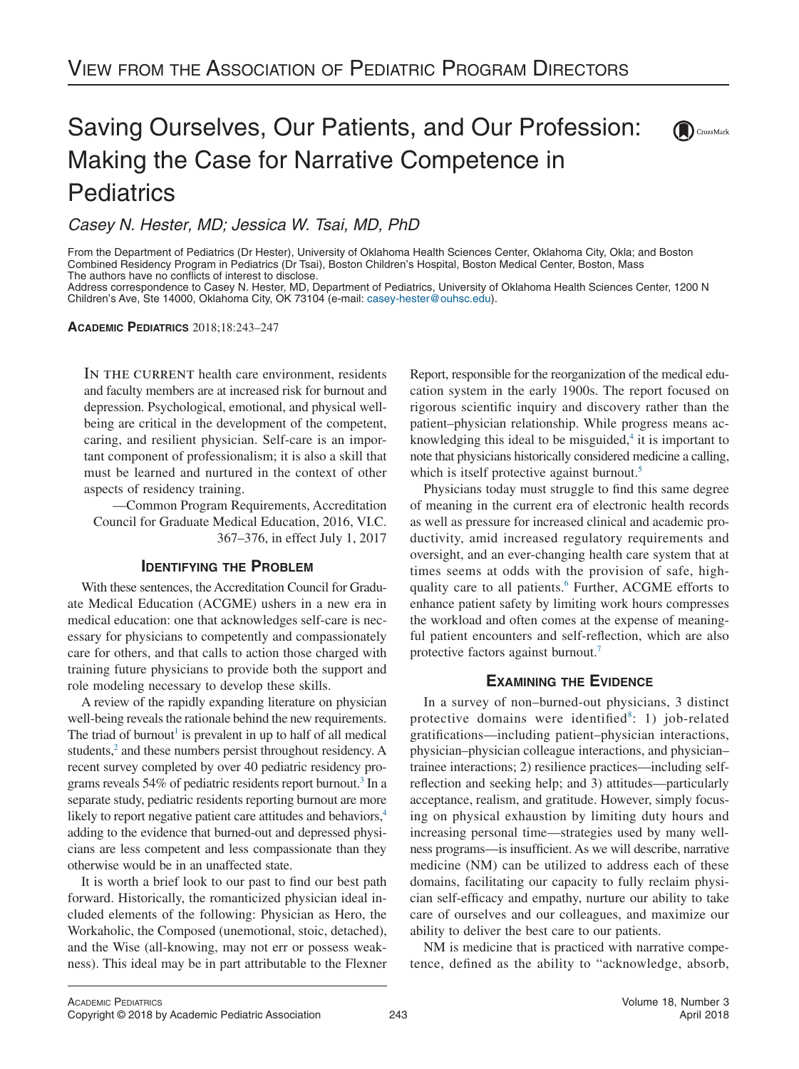# Saving Ourselves, Our Patients, and Our Profession: Making the Case for Narrative Competence in **Pediatrics**

*Casey N. Hester, MD; Jessica W. Tsai, MD, PhD*

From the Department of Pediatrics (Dr Hester), University of Oklahoma Health Sciences Center, Oklahoma City, Okla; and Boston Combined Residency Program in Pediatrics (Dr Tsai), Boston Children's Hospital, Boston Medical Center, Boston, Mass The authors have no conflicts of interest to disclose.

Address correspondence to Casey N. Hester, MD, Department of Pediatrics, University of Oklahoma Health Sciences Center, 1200 N Children's Ave, Ste 14000, Oklahoma City, OK 73104 (e-mail: [casey-hester@ouhsc.edu\)](mailto:casey-hester@ouhsc.edu).

**ACADEMIC PEDIATRICS** 2018;18:243–247

IN THE CURRENT health care environment, residents and faculty members are at increased risk for burnout and depression. Psychological, emotional, and physical wellbeing are critical in the development of the competent, caring, and resilient physician. Self-care is an important component of professionalism; it is also a skill that must be learned and nurtured in the context of other aspects of residency training.

—Common Program Requirements, Accreditation Council for Graduate Medical Education, 2016, VI.C. 367–376, in effect July 1, 2017

# **IDENTIFYING THE PROBLEM**

With these sentences, the Accreditation Council for Graduate Medical Education (ACGME) ushers in a new era in medical education: one that acknowledges self-care is necessary for physicians to competently and compassionately care for others, and that calls to action those charged with training future physicians to provide both the support and role modeling necessary to develop these skills.

A review of the rapidly expanding literature on physician well-being reveals the rationale behind the new requirements. The triad of burnout<sup>1</sup> is prevalent in up to half of all medical students,<sup>2</sup> and these numbers persist throughout residency. A recent survey completed by over 40 pediatric residency programs reveals  $54\%$  of pediatric residents report burnout.<sup>3</sup> In a separate study, pediatric residents reporting burnout are more likely to report negative patient care attitudes and behaviors,<sup>4</sup> adding to the evidence that burned-out and depressed physicians are less competent and less compassionate than they otherwise would be in an unaffected state.

It is worth a brief look to our past to find our best path forward. Historically, the romanticized physician ideal included elements of the following: Physician as Hero, the Workaholic, the Composed (unemotional, stoic, detached), and the Wise (all-knowing, may not err or possess weakness). This ideal may be in part attributable to the Flexner Report, responsible for the reorganization of the medical education system in the early 1900s. The report focused on rigorous scientific inquiry and discovery rather than the patient–physician relationship. While progress means acknowledging this ideal to be misguided, $4$  it is important to note that physicians historically considered medicine a calling, which is itself protective against burnout.<sup>5</sup>

 $\left(\blacksquare\right)$  CrossMark

Physicians today must struggle to find this same degree of meaning in the current era of electronic health records as well as pressure for increased clinical and academic productivity, amid increased regulatory requirements and oversight, and an ever-changing health care system that at times seems at odds with the provision of safe, highquality care to all patients.<sup>6</sup> Further, ACGME efforts to enhance patient safety by limiting work hours compresses the workload and often comes at the expense of meaningful patient encounters and self-reflection, which are also protective factors against burnout.<sup>7</sup>

# **EXAMINING THE EVIDENCE**

In a survey of non–burned-out physicians, 3 distinct protective domains were identified<sup>8</sup>: 1) job-related gratifications—including patient–physician interactions, physician–physician colleague interactions, and physician– trainee interactions; 2) resilience practices—including selfreflection and seeking help; and 3) attitudes—particularly acceptance, realism, and gratitude. However, simply focusing on physical exhaustion by limiting duty hours and increasing personal time—strategies used by many wellness programs—is insufficient. As we will describe, narrative medicine (NM) can be utilized to address each of these domains, facilitating our capacity to fully reclaim physician self-efficacy and empathy, nurture our ability to take care of ourselves and our colleagues, and maximize our ability to deliver the best care to our patients.

NM is medicine that is practiced with narrative competence, defined as the ability to "acknowledge, absorb,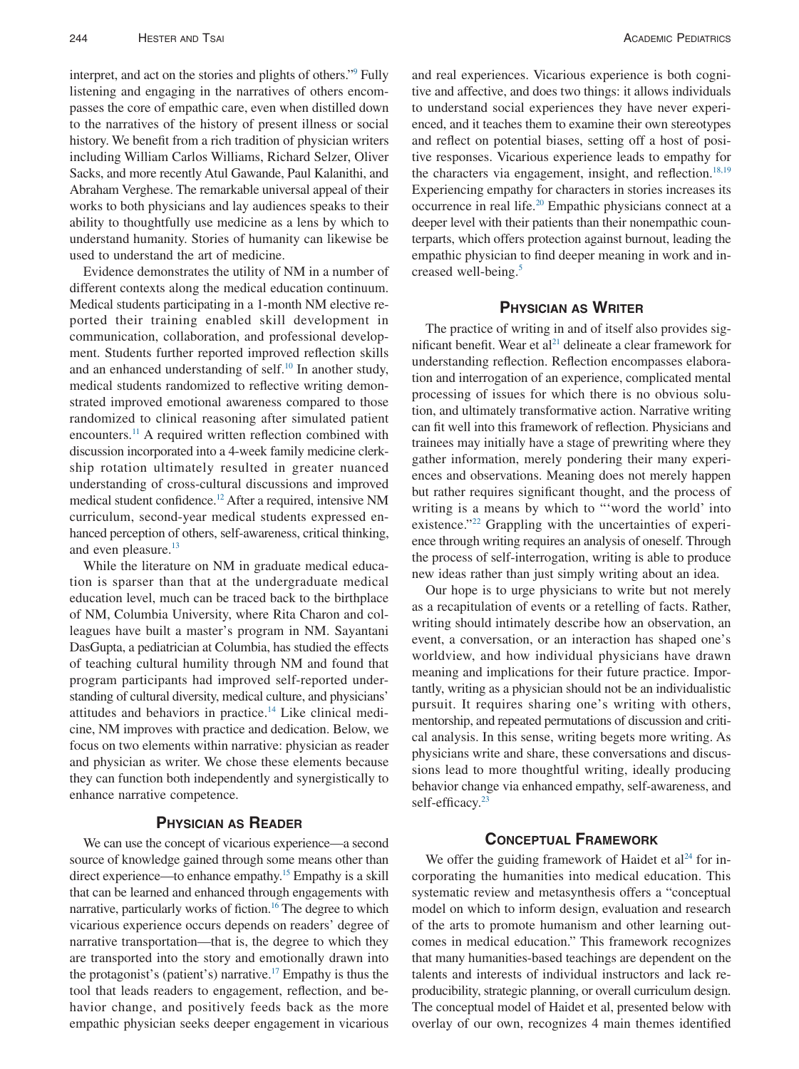interpret, and act on the stories and plights of others.["9](#page-4-8) Fully listening and engaging in the narratives of others encompasses the core of empathic care, even when distilled down to the narratives of the history of present illness or social history. We benefit from a rich tradition of physician writers including William Carlos Williams, Richard Selzer, Oliver Sacks, and more recently Atul Gawande, Paul Kalanithi, and Abraham Verghese. The remarkable universal appeal of their works to both physicians and lay audiences speaks to their ability to thoughtfully use medicine as a lens by which to understand humanity. Stories of humanity can likewise be used to understand the art of medicine.

Evidence demonstrates the utility of NM in a number of different contexts along the medical education continuum. Medical students participating in a 1-month NM elective reported their training enabled skill development in communication, collaboration, and professional development. Students further reported improved reflection skills and an enhanced understanding of self.<sup>10</sup> In another study, medical students randomized to reflective writing demonstrated improved emotional awareness compared to those randomized to clinical reasoning after simulated patient encounters.<sup>11</sup> A required written reflection combined with discussion incorporated into a 4-week family medicine clerkship rotation ultimately resulted in greater nuanced understanding of cross-cultural discussions and improved medical student confidence[.12](#page-4-11) After a required, intensive NM curriculum, second-year medical students expressed enhanced perception of others, self-awareness, critical thinking, and even pleasure.<sup>13</sup>

While the literature on NM in graduate medical education is sparser than that at the undergraduate medical education level, much can be traced back to the birthplace of NM, Columbia University, where Rita Charon and colleagues have built a master's program in NM. Sayantani DasGupta, a pediatrician at Columbia, has studied the effects of teaching cultural humility through NM and found that program participants had improved self-reported understanding of cultural diversity, medical culture, and physicians' attitudes and behaviors in practice[.14](#page-4-13) Like clinical medicine, NM improves with practice and dedication. Below, we focus on two elements within narrative: physician as reader and physician as writer. We chose these elements because they can function both independently and synergistically to enhance narrative competence.

# **PHYSICIAN AS READER**

We can use the concept of vicarious experience—a second source of knowledge gained through some means other than direct experience—to enhance empathy[.15](#page-4-14) Empathy is a skill that can be learned and enhanced through engagements with narrative, particularly works of fiction.<sup>16</sup> The degree to which vicarious experience occurs depends on readers' degree of narrative transportation—that is, the degree to which they are transported into the story and emotionally drawn into the protagonist's (patient's) narrative.<sup>17</sup> Empathy is thus the tool that leads readers to engagement, reflection, and behavior change, and positively feeds back as the more empathic physician seeks deeper engagement in vicarious

and real experiences. Vicarious experience is both cognitive and affective, and does two things: it allows individuals to understand social experiences they have never experienced, and it teaches them to examine their own stereotypes and reflect on potential biases, setting off a host of positive responses. Vicarious experience leads to empathy for the characters via engagement, insight, and reflection.<sup>18,19</sup> Experiencing empathy for characters in stories increases its occurrence in real life[.20](#page-4-18) Empathic physicians connect at a deeper level with their patients than their nonempathic counterparts, which offers protection against burnout, leading the empathic physician to find deeper meaning in work and increased well-being.<sup>5</sup>

# **PHYSICIAN AS WRITER**

The practice of writing in and of itself also provides significant benefit. Wear et al<sup>21</sup> delineate a clear framework for understanding reflection. Reflection encompasses elaboration and interrogation of an experience, complicated mental processing of issues for which there is no obvious solution, and ultimately transformative action. Narrative writing can fit well into this framework of reflection. Physicians and trainees may initially have a stage of prewriting where they gather information, merely pondering their many experiences and observations. Meaning does not merely happen but rather requires significant thought, and the process of writing is a means by which to "'word the world' into existence."<sup>22</sup> Grappling with the uncertainties of experience through writing requires an analysis of oneself. Through the process of self-interrogation, writing is able to produce new ideas rather than just simply writing about an idea.

Our hope is to urge physicians to write but not merely as a recapitulation of events or a retelling of facts. Rather, writing should intimately describe how an observation, an event, a conversation, or an interaction has shaped one's worldview, and how individual physicians have drawn meaning and implications for their future practice. Importantly, writing as a physician should not be an individualistic pursuit. It requires sharing one's writing with others, mentorship, and repeated permutations of discussion and critical analysis. In this sense, writing begets more writing. As physicians write and share, these conversations and discussions lead to more thoughtful writing, ideally producing behavior change via enhanced empathy, self-awareness, and self-efficacy.<sup>23</sup>

# **CONCEPTUAL FRAMEWORK**

We offer the guiding framework of Haidet et  $al<sup>24</sup>$  for incorporating the humanities into medical education. This systematic review and metasynthesis offers a "conceptual model on which to inform design, evaluation and research of the arts to promote humanism and other learning outcomes in medical education." This framework recognizes that many humanities-based teachings are dependent on the talents and interests of individual instructors and lack reproducibility, strategic planning, or overall curriculum design. The conceptual model of Haidet et al, presented below with overlay of our own, recognizes 4 main themes identified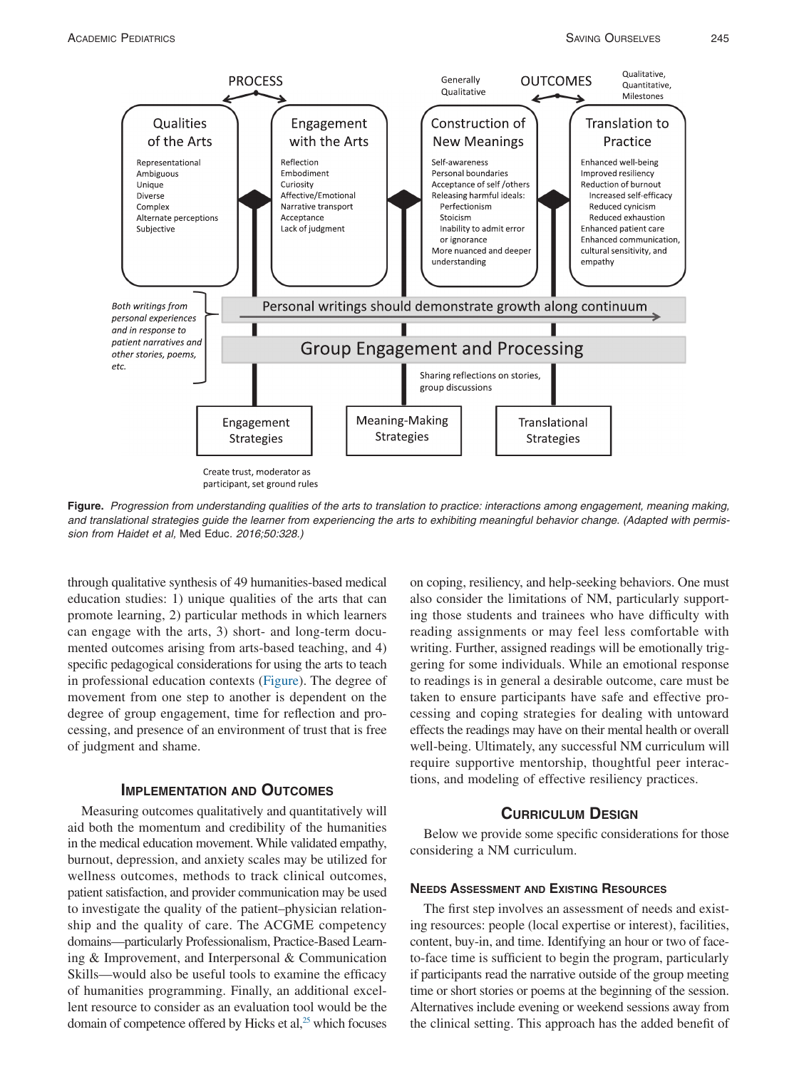

<span id="page-2-0"></span>**Figure.** *Progression from understanding qualities of the arts to translation to practice: interactions among engagement, meaning making, and translational strategies guide the learner from experiencing the arts to exhibiting meaningful behavior change. (Adapted with permission from Haidet et al,* Med Educ*. 2016;50:328.)*

through qualitative synthesis of 49 humanities-based medical education studies: 1) unique qualities of the arts that can promote learning, 2) particular methods in which learners can engage with the arts, 3) short- and long-term documented outcomes arising from arts-based teaching, and 4) specific pedagogical considerations for using the arts to teach in professional education contexts [\(Figure\)](#page-2-0). The degree of movement from one step to another is dependent on the degree of group engagement, time for reflection and processing, and presence of an environment of trust that is free of judgment and shame.

### **IMPLEMENTATION AND OUTCOMES**

Measuring outcomes qualitatively and quantitatively will aid both the momentum and credibility of the humanities in the medical education movement. While validated empathy, burnout, depression, and anxiety scales may be utilized for wellness outcomes, methods to track clinical outcomes, patient satisfaction, and provider communication may be used to investigate the quality of the patient–physician relationship and the quality of care. The ACGME competency domains—particularly Professionalism, Practice-Based Learning & Improvement, and Interpersonal & Communication Skills—would also be useful tools to examine the efficacy of humanities programming. Finally, an additional excellent resource to consider as an evaluation tool would be the domain of competence offered by Hicks et al, $25$  which focuses on coping, resiliency, and help-seeking behaviors. One must also consider the limitations of NM, particularly supporting those students and trainees who have difficulty with reading assignments or may feel less comfortable with writing. Further, assigned readings will be emotionally triggering for some individuals. While an emotional response to readings is in general a desirable outcome, care must be taken to ensure participants have safe and effective processing and coping strategies for dealing with untoward effects the readings may have on their mental health or overall well-being. Ultimately, any successful NM curriculum will require supportive mentorship, thoughtful peer interactions, and modeling of effective resiliency practices.

# **CURRICULUM DESIGN**

Below we provide some specific considerations for those considering a NM curriculum.

#### **NEEDS ASSESSMENT AND EXISTING RESOURCES**

The first step involves an assessment of needs and existing resources: people (local expertise or interest), facilities, content, buy-in, and time. Identifying an hour or two of faceto-face time is sufficient to begin the program, particularly if participants read the narrative outside of the group meeting time or short stories or poems at the beginning of the session. Alternatives include evening or weekend sessions away from the clinical setting. This approach has the added benefit of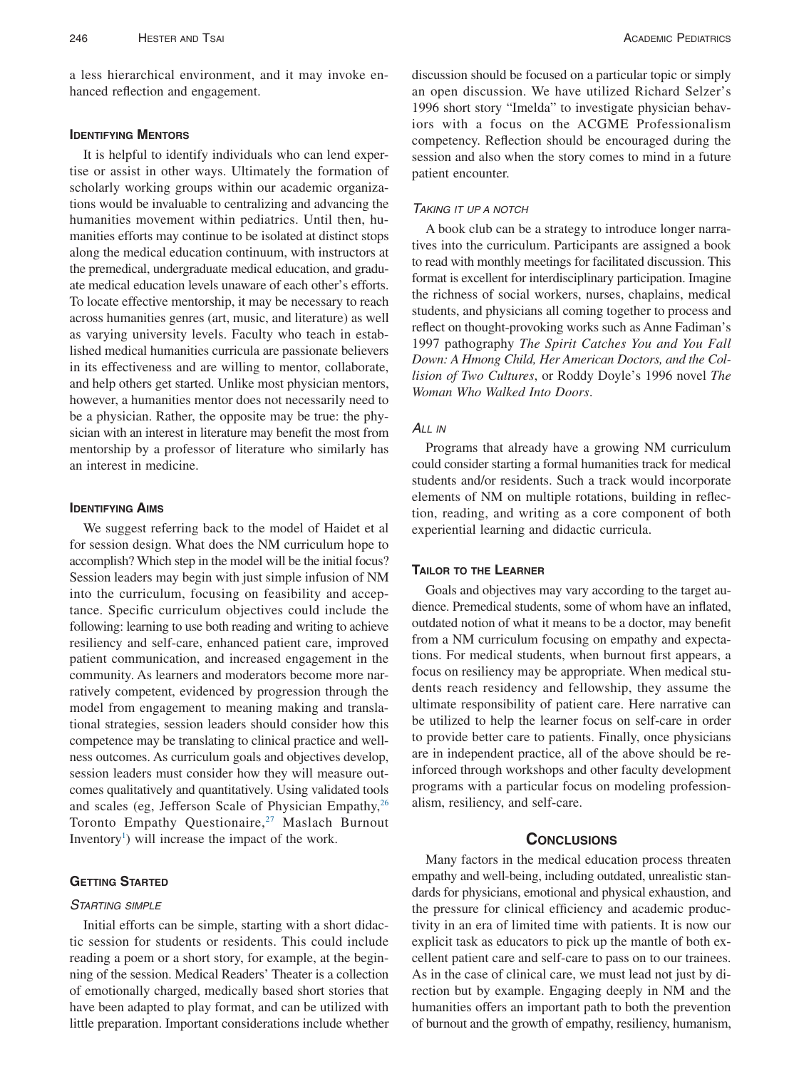a less hierarchical environment, and it may invoke enhanced reflection and engagement.

#### **IDENTIFYING MENTORS**

It is helpful to identify individuals who can lend expertise or assist in other ways. Ultimately the formation of scholarly working groups within our academic organizations would be invaluable to centralizing and advancing the humanities movement within pediatrics. Until then, humanities efforts may continue to be isolated at distinct stops along the medical education continuum, with instructors at the premedical, undergraduate medical education, and graduate medical education levels unaware of each other's efforts. To locate effective mentorship, it may be necessary to reach across humanities genres (art, music, and literature) as well as varying university levels. Faculty who teach in established medical humanities curricula are passionate believers in its effectiveness and are willing to mentor, collaborate, and help others get started. Unlike most physician mentors, however, a humanities mentor does not necessarily need to be a physician. Rather, the opposite may be true: the physician with an interest in literature may benefit the most from mentorship by a professor of literature who similarly has an interest in medicine.

# **IDENTIFYING AIMS**

We suggest referring back to the model of Haidet et al for session design. What does the NM curriculum hope to accomplish? Which step in the model will be the initial focus? Session leaders may begin with just simple infusion of NM into the curriculum, focusing on feasibility and acceptance. Specific curriculum objectives could include the following: learning to use both reading and writing to achieve resiliency and self-care, enhanced patient care, improved patient communication, and increased engagement in the community. As learners and moderators become more narratively competent, evidenced by progression through the model from engagement to meaning making and translational strategies, session leaders should consider how this competence may be translating to clinical practice and wellness outcomes. As curriculum goals and objectives develop, session leaders must consider how they will measure outcomes qualitatively and quantitatively. Using validated tools and scales (eg, Jefferson Scale of Physician Empathy, $^{26}$ Toronto Empathy Questionaire,<sup>27</sup> Maslach Burnout Inventory<sup>1</sup>) will increase the impact of the work.

## **GETTING STARTED**

# *STARTING SIMPLE*

Initial efforts can be simple, starting with a short didactic session for students or residents. This could include reading a poem or a short story, for example, at the beginning of the session. Medical Readers' Theater is a collection of emotionally charged, medically based short stories that have been adapted to play format, and can be utilized with little preparation. Important considerations include whether

discussion should be focused on a particular topic or simply an open discussion. We have utilized Richard Selzer's 1996 short story "Imelda" to investigate physician behaviors with a focus on the ACGME Professionalism competency. Reflection should be encouraged during the session and also when the story comes to mind in a future patient encounter.

#### *TAKING IT UP A NOTCH*

A book club can be a strategy to introduce longer narratives into the curriculum. Participants are assigned a book to read with monthly meetings for facilitated discussion. This format is excellent for interdisciplinary participation. Imagine the richness of social workers, nurses, chaplains, medical students, and physicians all coming together to process and reflect on thought-provoking works such as Anne Fadiman's 1997 pathography *The Spirit Catches You and You Fall Down: A Hmong Child, Her American Doctors, and the Collision of Two Cultures*, or Roddy Doyle's 1996 novel *The Woman Who Walked Into Doors*.

# *ALL IN*

Programs that already have a growing NM curriculum could consider starting a formal humanities track for medical students and/or residents. Such a track would incorporate elements of NM on multiple rotations, building in reflection, reading, and writing as a core component of both experiential learning and didactic curricula.

## **TAILOR TO THE LEARNER**

Goals and objectives may vary according to the target audience. Premedical students, some of whom have an inflated, outdated notion of what it means to be a doctor, may benefit from a NM curriculum focusing on empathy and expectations. For medical students, when burnout first appears, a focus on resiliency may be appropriate. When medical students reach residency and fellowship, they assume the ultimate responsibility of patient care. Here narrative can be utilized to help the learner focus on self-care in order to provide better care to patients. Finally, once physicians are in independent practice, all of the above should be reinforced through workshops and other faculty development programs with a particular focus on modeling professionalism, resiliency, and self-care.

## **CONCLUSIONS**

Many factors in the medical education process threaten empathy and well-being, including outdated, unrealistic standards for physicians, emotional and physical exhaustion, and the pressure for clinical efficiency and academic productivity in an era of limited time with patients. It is now our explicit task as educators to pick up the mantle of both excellent patient care and self-care to pass on to our trainees. As in the case of clinical care, we must lead not just by direction but by example. Engaging deeply in NM and the humanities offers an important path to both the prevention of burnout and the growth of empathy, resiliency, humanism,